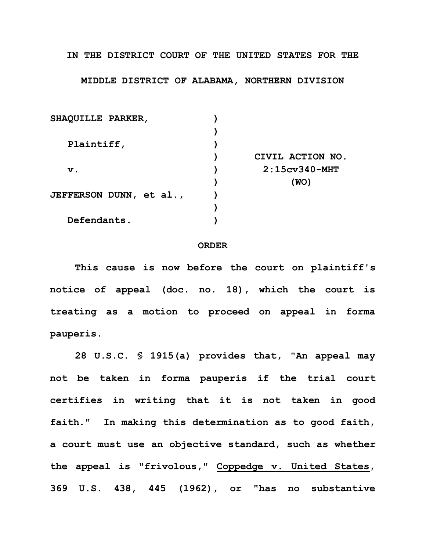**IN THE DISTRICT COURT OF THE UNITED STATES FOR THE**

## **MIDDLE DISTRICT OF ALABAMA, NORTHERN DIVISION**

| SHAQUILLE PARKER,       |                  |
|-------------------------|------------------|
|                         |                  |
| Plaintiff,              |                  |
|                         | CIVIL ACTION NO. |
| $\mathbf v$ .           | $2:15cv340-MHT$  |
|                         | (WO)             |
| JEFFERSON DUNN, et al., |                  |
|                         |                  |
| Defendants.             |                  |

## **ORDER**

**This cause is now before the court on plaintiff's notice of appeal (doc. no. 18), which the court is treating as a motion to proceed on appeal in forma pauperis.**

**28 U.S.C. § 1915(a) provides that, "An appeal may not be taken in forma pauperis if the trial court certifies in writing that it is not taken in good faith." In making this determination as to good faith, a court must use an objective standard, such as whether the appeal is "frivolous," Coppedge v. United States, 369 U.S. 438, 445 (1962), or "has no substantive**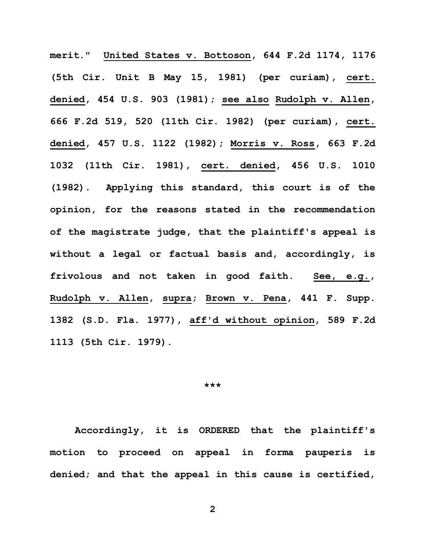**merit." United States v. Bottoson, 644 F.2d 1174, 1176 (5th Cir. Unit B May 15, 1981) (per curiam), cert. denied, 454 U.S. 903 (1981); see also Rudolph v. Allen, 666 F.2d 519, 520 (11th Cir. 1982) (per curiam), cert. denied, 457 U.S. 1122 (1982); Morris v. Ross, 663 F.2d 1032 (11th Cir. 1981), cert. denied, 456 U.S. 1010 (1982). Applying this standard, this court is of the opinion, for the reasons stated in the recommendation of the magistrate judge, that the plaintiff's appeal is without a legal or factual basis and, accordingly, is frivolous and not taken in good faith. See, e.g., Rudolph v. Allen, supra; Brown v. Pena, 441 F. Supp. 1382 (S.D. Fla. 1977), aff'd without opinion, 589 F.2d 1113 (5th Cir. 1979).**

## **\*\*\***

**Accordingly, it is ORDERED that the plaintiff's motion to proceed on appeal in forma pauperis is denied; and that the appeal in this cause is certified,**

**2**